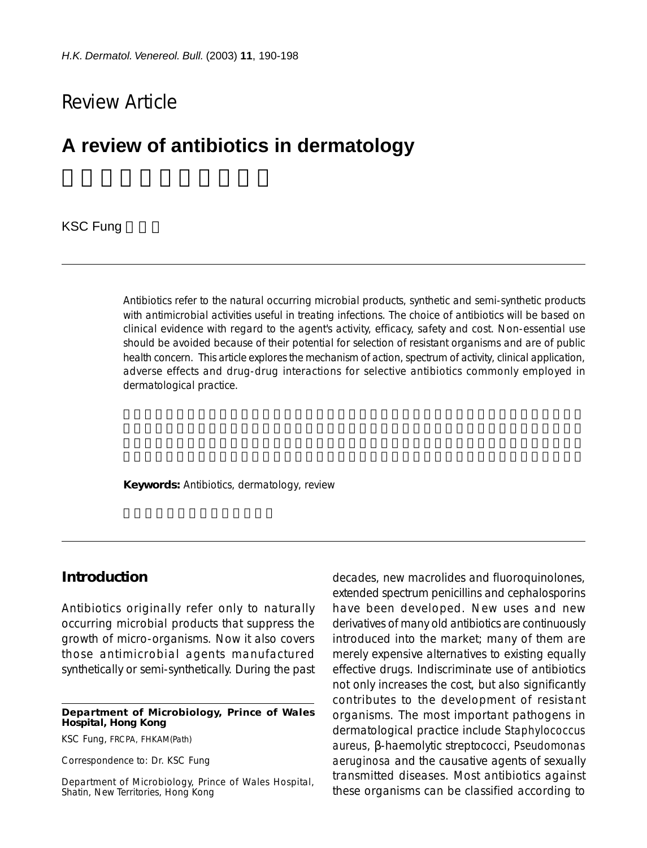# Review Article

# **A review of antibiotics in dermatology**

**KSC Fung** 

Antibiotics refer to the natural occurring microbial products, synthetic and semi-synthetic products with antimicrobial activities useful in treating infections. The choice of antibiotics will be based on clinical evidence with regard to the agent's activity, efficacy, safety and cost. Non-essential use should be avoided because of their potential for selection of resistant organisms and are of public health concern. This article explores the mechanism of action, spectrum of activity, clinical application, adverse effects and drug-drug interactions for selective antibiotics commonly employed in dermatological practice.

**Keywords:** Antibiotics, dermatology, review

### **Introduction**

Antibiotics originally refer only to naturally occurring microbial products that suppress the growth of micro-organisms. Now it also covers those antimicrobial agents manufactured synthetically or semi-synthetically. During the past

**Department of Microbiology, Prince of Wales Hospital, Hong Kong**

KSC Fung, FRCPA, FHKAM(Path)

Correspondence to: Dr. KSC Fung

Department of Microbiology, Prince of Wales Hospital, Shatin, New Territories, Hong Kong

decades, new macrolides and fluoroquinolones, extended spectrum penicillins and cephalosporins have been developed. New uses and new derivatives of many old antibiotics are continuously introduced into the market; many of them are merely expensive alternatives to existing equally effective drugs. Indiscriminate use of antibiotics not only increases the cost, but also significantly contributes to the development of resistant organisms. The most important pathogens in dermatological practice include *Staphylococcus aureus*, β-haemolytic streptococci, *Pseudomonas aeruginosa* and the causative agents of sexually transmitted diseases. Most antibiotics against these organisms can be classified according to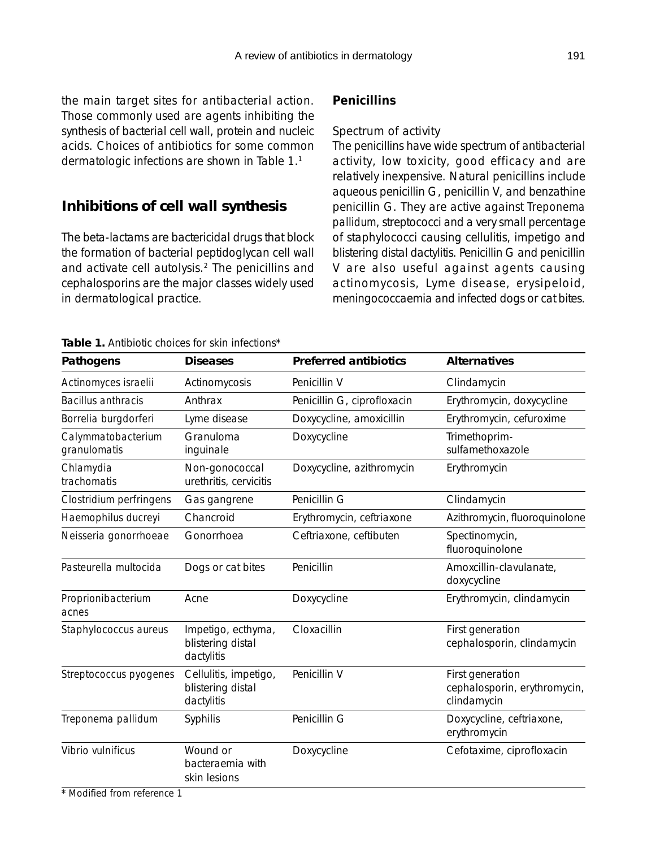the main target sites for antibacterial action. Those commonly used are agents inhibiting the synthesis of bacterial cell wall, protein and nucleic acids. Choices of antibiotics for some common dermatologic infections are shown in Table 1.1

# **Inhibitions of cell wall synthesis**

The beta-lactams are bactericidal drugs that block the formation of bacterial peptidoglycan cell wall and activate cell autolysis.2 The penicillins and cephalosporins are the major classes widely used in dermatological practice.

# *Penicillins*

## Spectrum of activity

The penicillins have wide spectrum of antibacterial activity, low toxicity, good efficacy and are relatively inexpensive. Natural penicillins include aqueous penicillin G, penicillin V, and benzathine penicillin G. They are active against *Treponema pallidum*, streptococci and a very small percentage of staphylococci causing cellulitis, impetigo and blistering distal dactylitis. Penicillin G and penicillin V are also useful against agents causing actinomycosis, Lyme disease, erysipeloid, meningococcaemia and infected dogs or cat bites.

### **Table 1.** Antibiotic choices for skin infections\*

| Pathogens                          | <b>Diseases</b>                                          | <b>Preferred antibiotics</b> | <b>Alternatives</b>                                             |
|------------------------------------|----------------------------------------------------------|------------------------------|-----------------------------------------------------------------|
| Actinomyces israelii               | Actinomycosis                                            | Penicillin V                 | Clindamycin                                                     |
| <b>Bacillus anthracis</b>          | Anthrax                                                  | Penicillin G, ciprofloxacin  | Erythromycin, doxycycline                                       |
| Borrelia burgdorferi               | Lyme disease                                             | Doxycycline, amoxicillin     | Erythromycin, cefuroxime                                        |
| Calymmatobacterium<br>granulomatis | Granuloma<br>inguinale                                   | Doxycycline                  | Trimethoprim-<br>sulfamethoxazole                               |
| Chlamydia<br>trachomatis           | Non-gonococcal<br>urethritis, cervicitis                 | Doxycycline, azithromycin    | Erythromycin                                                    |
| Clostridium perfringens            | Gas gangrene                                             | Penicillin G                 | Clindamycin                                                     |
| Haemophilus ducreyi                | Chancroid                                                | Erythromycin, ceftriaxone    | Azithromycin, fluoroquinolone                                   |
| Neisseria gonorrhoeae              | Gonorrhoea                                               | Ceftriaxone, ceftibuten      | Spectinomycin,<br>fluoroquinolone                               |
| Pasteurella multocida              | Dogs or cat bites                                        | Penicillin                   | Amoxcillin-clavulanate,<br>doxycycline                          |
| Proprionibacterium<br>acnes        | Acne                                                     | Doxycycline                  | Erythromycin, clindamycin                                       |
| Staphylococcus aureus              | Impetigo, ecthyma,<br>blistering distal<br>dactylitis    | Cloxacillin                  | First generation<br>cephalosporin, clindamycin                  |
| Streptococcus pyogenes             | Cellulitis, impetigo,<br>blistering distal<br>dactylitis | Penicillin V                 | First generation<br>cephalosporin, erythromycin,<br>clindamycin |
| Treponema pallidum                 | Syphilis                                                 | Penicillin G                 | Doxycycline, ceftriaxone,<br>erythromycin                       |
| Vibrio vulnificus                  | Wound or<br>bacteraemia with<br>skin lesions             | Doxycycline                  | Cefotaxime, ciprofloxacin                                       |

\* Modified from reference 1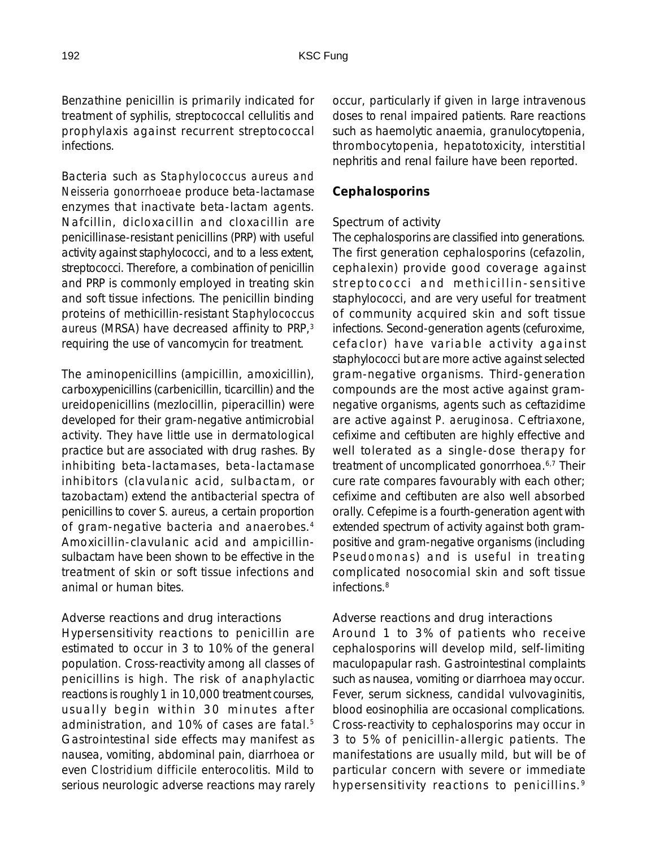Benzathine penicillin is primarily indicated for treatment of syphilis, streptococcal cellulitis and prophylaxis against recurrent streptococcal infections.

Bacteria such as *Staphylococcus aureus and Neisseria gonorrhoeae* produce beta-lactamase enzymes that inactivate beta-lactam agents. Nafcillin, dicloxacillin and cloxacillin are penicillinase-resistant penicillins (PRP) with useful activity against staphylococci, and to a less extent, streptococci. Therefore, a combination of penicillin and PRP is commonly employed in treating skin and soft tissue infections. The penicillin binding proteins of methicillin-resistant *Staphylococcus aureus* (MRSA) have decreased affinity to PRP,3 requiring the use of vancomycin for treatment.

The aminopenicillins (ampicillin, amoxicillin), carboxypenicillins (carbenicillin, ticarcillin) and the ureidopenicillins (mezlocillin, piperacillin) were developed for their gram-negative antimicrobial activity. They have little use in dermatological practice but are associated with drug rashes. By inhibiting beta-lactamases, beta-lactamase inhibitors (clavulanic acid, sulbactam, or tazobactam) extend the antibacterial spectra of penicillins to cover *S. aureus*, a certain proportion of gram-negative bacteria and anaerobes.4 Amoxicillin-clavulanic acid and ampicillinsulbactam have been shown to be effective in the treatment of skin or soft tissue infections and animal or human bites.

#### Adverse reactions and drug interactions

Hypersensitivity reactions to penicillin are estimated to occur in 3 to 10% of the general population. Cross-reactivity among all classes of penicillins is high. The risk of anaphylactic reactions is roughly 1 in 10,000 treatment courses, usually begin within 30 minutes after administration, and 10% of cases are fatal.<sup>5</sup> Gastrointestinal side effects may manifest as nausea, vomiting, abdominal pain, diarrhoea or even *Clostridium difficile* enterocolitis. Mild to serious neurologic adverse reactions may rarely occur, particularly if given in large intravenous doses to renal impaired patients. Rare reactions such as haemolytic anaemia, granulocytopenia, thrombocytopenia, hepatotoxicity, interstitial nephritis and renal failure have been reported.

#### *Cephalosporins*

#### Spectrum of activity

The cephalosporins are classified into generations. The first generation cephalosporins (cefazolin, cephalexin) provide good coverage against streptococci and methicillin-sensitive staphylococci, and are very useful for treatment of community acquired skin and soft tissue infections. Second-generation agents (cefuroxime, cefaclor) have variable activity against staphylococci but are more active against selected gram-negative organisms. Third-generation compounds are the most active against gramnegative organisms, agents such as ceftazidime are active against *P. aeruginosa*. Ceftriaxone, cefixime and ceftibuten are highly effective and well tolerated as a single-dose therapy for treatment of uncomplicated gonorrhoea.6,7 Their cure rate compares favourably with each other; cefixime and ceftibuten are also well absorbed orally. Cefepime is a fourth-generation agent with extended spectrum of activity against both grampositive and gram-negative organisms (including *Pseudomonas*) and is useful in treating complicated nosocomial skin and soft tissue infections.<sup>8</sup>

#### Adverse reactions and drug interactions

Around 1 to 3% of patients who receive cephalosporins will develop mild, self-limiting maculopapular rash. Gastrointestinal complaints such as nausea, vomiting or diarrhoea may occur. Fever, serum sickness, candidal vulvovaginitis, blood eosinophilia are occasional complications. Cross-reactivity to cephalosporins may occur in 3 to 5% of penicillin-allergic patients. The manifestations are usually mild, but will be of particular concern with severe or immediate hypersensitivity reactions to penicillins. <sup>9</sup>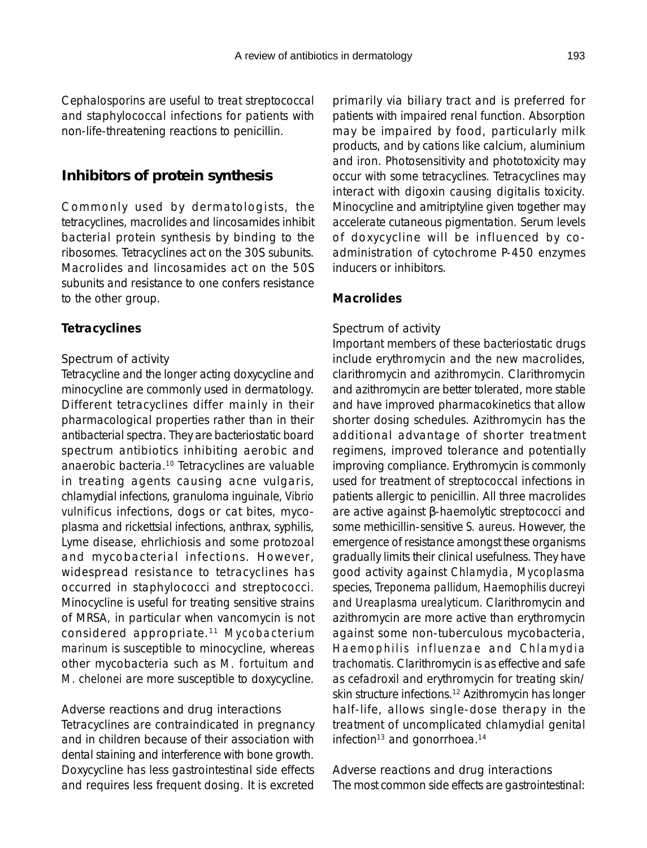Cephalosporins are useful to treat streptococcal and staphylococcal infections for patients with non-life-threatening reactions to penicillin.

# **Inhibitors of protein synthesis**

Commonly used by dermatologists, the tetracyclines, macrolides and lincosamides inhibit bacterial protein synthesis by binding to the ribosomes. Tetracyclines act on the 30S subunits. Macrolides and lincosamides act on the 50S subunits and resistance to one confers resistance to the other group.

### *Tetracyclines*

#### Spectrum of activity

Tetracycline and the longer acting doxycycline and minocycline are commonly used in dermatology. Different tetracyclines differ mainly in their pharmacological properties rather than in their antibacterial spectra. They are bacteriostatic board spectrum antibiotics inhibiting aerobic and anaerobic bacteria.10 Tetracyclines are valuable in treating agents causing acne vulgaris, chlamydial infections, granuloma inguinale, *Vibrio vulnificus* infections, dogs or cat bites, mycoplasma and rickettsial infections, anthrax, syphilis, Lyme disease, ehrlichiosis and some protozoal and mycobacterial infections. However, widespread resistance to tetracyclines has occurred in staphylococci and streptococci. Minocycline is useful for treating sensitive strains of MRSA, in particular when vancomycin is not considered appropriate.11 *Mycobacterium marinum* is susceptible to minocycline, whereas other mycobacteria such as *M. fortuitum* and *M. chelonei* are more susceptible to doxycycline.

Adverse reactions and drug interactions Tetracyclines are contraindicated in pregnancy and in children because of their association with dental staining and interference with bone growth. Doxycycline has less gastrointestinal side effects and requires less frequent dosing. It is excreted

primarily via biliary tract and is preferred for patients with impaired renal function. Absorption may be impaired by food, particularly milk products, and by cations like calcium, aluminium and iron. Photosensitivity and phototoxicity may occur with some tetracyclines. Tetracyclines may interact with digoxin causing digitalis toxicity. Minocycline and amitriptyline given together may accelerate cutaneous pigmentation. Serum levels of doxycycline will be influenced by coadministration of cytochrome P-450 enzymes inducers or inhibitors.

### *Macrolides*

### Spectrum of activity

Important members of these bacteriostatic drugs include erythromycin and the new macrolides, clarithromycin and azithromycin. Clarithromycin and azithromycin are better tolerated, more stable and have improved pharmacokinetics that allow shorter dosing schedules. Azithromycin has the additional advantage of shorter treatment regimens, improved tolerance and potentially improving compliance. Erythromycin is commonly used for treatment of streptococcal infections in patients allergic to penicillin. All three macrolides are active against β-haemolytic streptococci and some methicillin-sensitive *S. aureus*. However, the emergence of resistance amongst these organisms gradually limits their clinical usefulness. They have good activity against *Chlamydia, Mycoplasma* species, *Treponema pallidum, Haemophilis ducreyi and Ureaplasma urealyticum*. Clarithromycin and azithromycin are more active than erythromycin against some non-tuberculous mycobacteria, *Haemophilis influenzae* and *Chlamydia trachomatis*. Clarithromycin is as effective and safe as cefadroxil and erythromycin for treating skin/ skin structure infections.12 Azithromycin has longer half-life, allows single-dose therapy in the treatment of uncomplicated chlamydial genital infection<sup>13</sup> and gonorrhoea.<sup>14</sup>

Adverse reactions and drug interactions The most common side effects are gastrointestinal: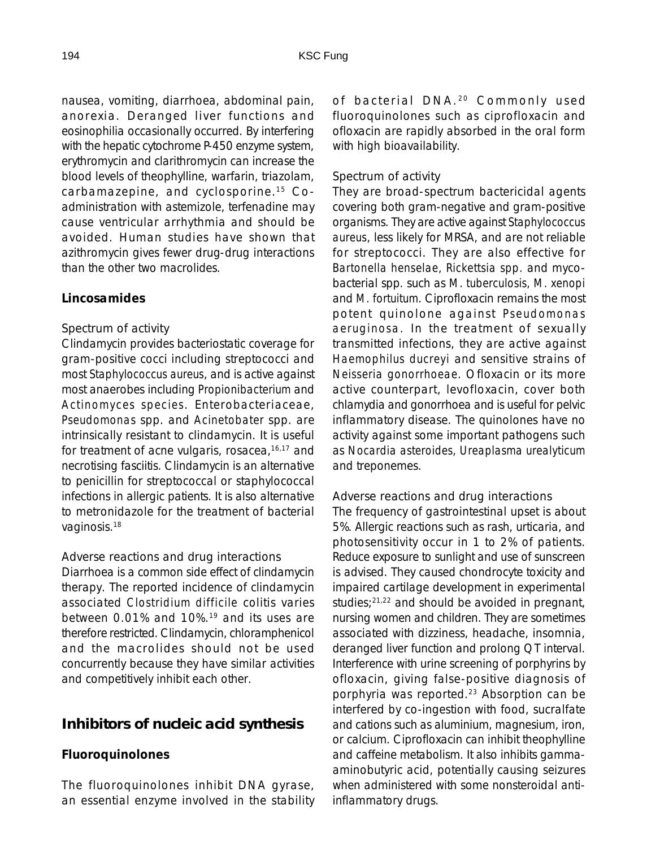nausea, vomiting, diarrhoea, abdominal pain, anorexia. Deranged liver functions and eosinophilia occasionally occurred. By interfering with the hepatic cytochrome P-450 enzyme system, erythromycin and clarithromycin can increase the blood levels of theophylline, warfarin, triazolam, carbamazepine, and cyclosporine.15 Coadministration with astemizole, terfenadine may cause ventricular arrhythmia and should be avoided. Human studies have shown that azithromycin gives fewer drug-drug interactions than the other two macrolides.

# *Lincosamides*

#### Spectrum of activity

Clindamycin provides bacteriostatic coverage for gram-positive cocci including streptococci and most *Staphylococcus aureus*, and is active against most anaerobes including *Propionibacterium* and *Actinomyces species*. Enterobacteriaceae, *Pseudomonas* spp. and *Acinetobater* spp. are intrinsically resistant to clindamycin. It is useful for treatment of acne vulgaris, rosacea, $16,17$  and necrotising fasciitis. Clindamycin is an alternative to penicillin for streptococcal or staphylococcal infections in allergic patients. It is also alternative to metronidazole for the treatment of bacterial vaginosis.18

Adverse reactions and drug interactions Diarrhoea is a common side effect of clindamycin therapy. The reported incidence of clindamycin associated *Clostridium difficile* colitis varies between 0.01% and 10%.19 and its uses are therefore restricted. Clindamycin, chloramphenicol and the macrolides should not be used concurrently because they have similar activities and competitively inhibit each other.

# **Inhibitors of nucleic acid synthesis**

### *Fluoroquinolones*

The fluoroquinolones inhibit DNA gyrase, an essential enzyme involved in the stability of bacterial DNA.<sup>20</sup> Commonly used fluoroquinolones such as ciprofloxacin and ofloxacin are rapidly absorbed in the oral form with high bioavailability.

### Spectrum of activity

They are broad-spectrum bactericidal agents covering both gram-negative and gram-positive organisms. They are active against *Staphylococcus aureus*, less likely for MRSA, and are not reliable for streptococci. They are also effective for *Bartonella henselae, Rickettsia spp.* and mycobacterial spp. such as *M. tuberculosis, M. xenopi* and *M. fortuitum*. Ciprofloxacin remains the most potent quinolone against *Pseudomonas aeruginosa*. In the treatment of sexually transmitted infections, they are active against *Haemophilus ducreyi* and sensitive strains of *Neisseria gonorrhoeae*. Ofloxacin or its more active counterpart, levofloxacin, cover both chlamydia and gonorrhoea and is useful for pelvic inflammatory disease. The quinolones have no activity against some important pathogens such as *Nocardia asteroides, Ureaplasma urealyticum* and treponemes.

### Adverse reactions and drug interactions

The frequency of gastrointestinal upset is about 5%. Allergic reactions such as rash, urticaria, and photosensitivity occur in 1 to 2% of patients. Reduce exposure to sunlight and use of sunscreen is advised. They caused chondrocyte toxicity and impaired cartilage development in experimental studies; $2^{1,22}$  and should be avoided in pregnant, nursing women and children. They are sometimes associated with dizziness, headache, insomnia, deranged liver function and prolong QT interval. Interference with urine screening of porphyrins by ofloxacin, giving false-positive diagnosis of porphyria was reported.<sup>23</sup> Absorption can be interfered by co-ingestion with food, sucralfate and cations such as aluminium, magnesium, iron, or calcium. Ciprofloxacin can inhibit theophylline and caffeine metabolism. It also inhibits gammaaminobutyric acid, potentially causing seizures when administered with some nonsteroidal antiinflammatory drugs.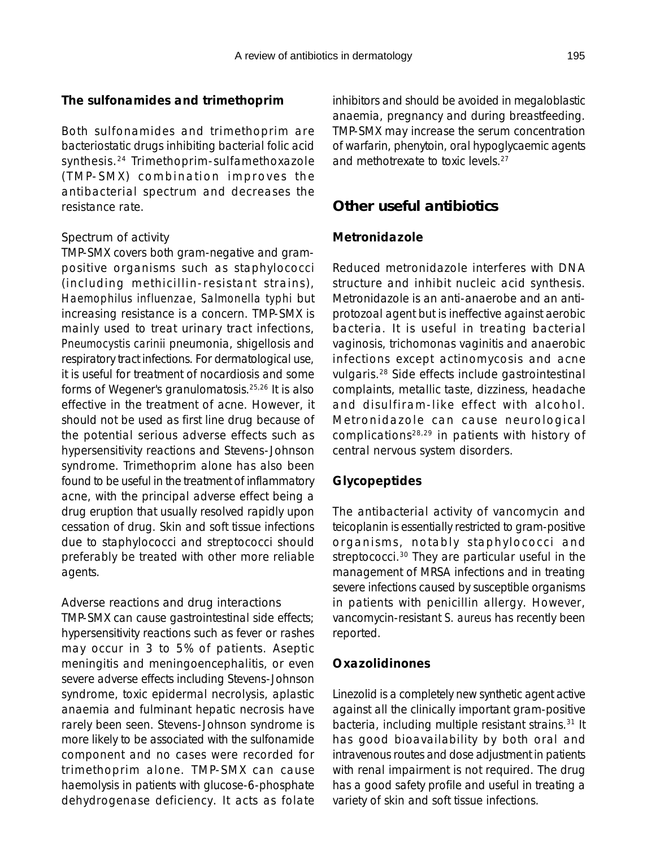## *The sulfonamides and trimethoprim*

Both sulfonamides and trimethoprim are bacteriostatic drugs inhibiting bacterial folic acid synthesis.24 Trimethoprim-sulfamethoxazole (TMP-SMX) combination improves the antibacterial spectrum and decreases the resistance rate.

#### Spectrum of activity

TMP-SMX covers both gram-negative and grampositive organisms such as staphylococci (including methicillin-resistant strains), *Haemophilus influenzae, Salmonella typhi* but increasing resistance is a concern. TMP-SMX is mainly used to treat urinary tract infections, *Pneumocystis carinii* pneumonia, shigellosis and respiratory tract infections. For dermatological use, it is useful for treatment of nocardiosis and some forms of Wegener's granulomatosis.25,26 It is also effective in the treatment of acne. However, it should not be used as first line drug because of the potential serious adverse effects such as hypersensitivity reactions and Stevens-Johnson syndrome. Trimethoprim alone has also been found to be useful in the treatment of inflammatory acne, with the principal adverse effect being a drug eruption that usually resolved rapidly upon cessation of drug. Skin and soft tissue infections due to staphylococci and streptococci should preferably be treated with other more reliable agents.

### Adverse reactions and drug interactions

TMP-SMX can cause gastrointestinal side effects; hypersensitivity reactions such as fever or rashes may occur in 3 to 5% of patients. Aseptic meningitis and meningoencephalitis, or even severe adverse effects including Stevens-Johnson syndrome, toxic epidermal necrolysis, aplastic anaemia and fulminant hepatic necrosis have rarely been seen. Stevens-Johnson syndrome is more likely to be associated with the sulfonamide component and no cases were recorded for trimethoprim alone. TMP-SMX can cause haemolysis in patients with glucose-6-phosphate dehydrogenase deficiency. It acts as folate

inhibitors and should be avoided in megaloblastic anaemia, pregnancy and during breastfeeding. TMP-SMX may increase the serum concentration of warfarin, phenytoin, oral hypoglycaemic agents and methotrexate to toxic levels.27

# **Other useful antibiotics**

# *Metronidazole*

Reduced metronidazole interferes with DNA structure and inhibit nucleic acid synthesis. Metronidazole is an anti-anaerobe and an antiprotozoal agent but is ineffective against aerobic bacteria. It is useful in treating bacterial vaginosis, trichomonas vaginitis and anaerobic infections except actinomycosis and acne vulgaris.28 Side effects include gastrointestinal complaints, metallic taste, dizziness, headache and disulfiram-like effect with alcohol. Metronidazole can cause neurological complications28,29 in patients with history of central nervous system disorders.

# *Glycopeptides*

The antibacterial activity of vancomycin and teicoplanin is essentially restricted to gram-positive organisms, notably staphylococci and streptococci.<sup>30</sup> They are particular useful in the management of MRSA infections and in treating severe infections caused by susceptible organisms in patients with penicillin allergy. However, vancomycin-resistant *S. aureus* has recently been reported.

# *Oxazolidinones*

Linezolid is a completely new synthetic agent active against all the clinically important gram-positive bacteria, including multiple resistant strains.<sup>31</sup> It has good bioavailability by both oral and intravenous routes and dose adjustment in patients with renal impairment is not required. The drug has a good safety profile and useful in treating a variety of skin and soft tissue infections.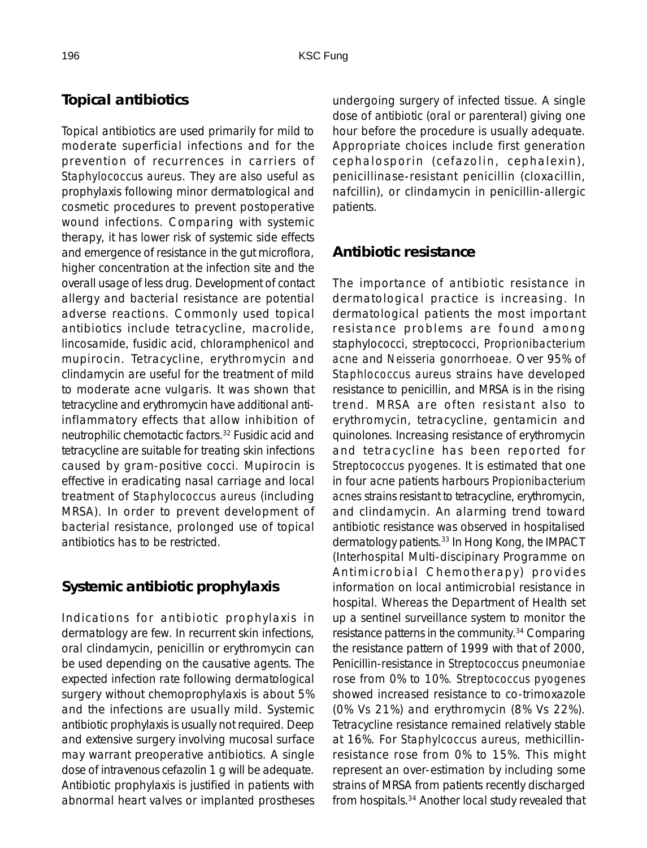# **Topical antibiotics**

Topical antibiotics are used primarily for mild to moderate superficial infections and for the prevention of recurrences in carriers of *Staphylococcus aureus*. They are also useful as prophylaxis following minor dermatological and cosmetic procedures to prevent postoperative wound infections. Comparing with systemic therapy, it has lower risk of systemic side effects and emergence of resistance in the gut microflora, higher concentration at the infection site and the overall usage of less drug. Development of contact allergy and bacterial resistance are potential adverse reactions. Commonly used topical antibiotics include tetracycline, macrolide, lincosamide, fusidic acid, chloramphenicol and mupirocin. Tetracycline, erythromycin and clindamycin are useful for the treatment of mild to moderate acne vulgaris. It was shown that tetracycline and erythromycin have additional antiinflammatory effects that allow inhibition of neutrophilic chemotactic factors.32 Fusidic acid and tetracycline are suitable for treating skin infections caused by gram-positive cocci. Mupirocin is effective in eradicating nasal carriage and local treatment of *Staphylococcus aureus* (including MRSA). In order to prevent development of bacterial resistance, prolonged use of topical antibiotics has to be restricted.

# **Systemic antibiotic prophylaxis**

Indications for antibiotic prophylaxis in dermatology are few. In recurrent skin infections, oral clindamycin, penicillin or erythromycin can be used depending on the causative agents. The expected infection rate following dermatological surgery without chemoprophylaxis is about 5% and the infections are usually mild. Systemic antibiotic prophylaxis is usually not required. Deep and extensive surgery involving mucosal surface may warrant preoperative antibiotics. A single dose of intravenous cefazolin 1 g will be adequate. Antibiotic prophylaxis is justified in patients with abnormal heart valves or implanted prostheses

undergoing surgery of infected tissue. A single dose of antibiotic (oral or parenteral) giving one hour before the procedure is usually adequate. Appropriate choices include first generation cephalosporin (cefazolin, cephalexin), penicillinase-resistant penicillin (cloxacillin, nafcillin), or clindamycin in penicillin-allergic patients.

# **Antibiotic resistance**

The importance of antibiotic resistance in dermatological practice is increasing. In dermatological patients the most important resistance problems are found among staphylococci, streptococci, *Proprionibacterium acne* and *Neisseria gonorrhoeae*. Over 95% of *Staphlococcus aureus* strains have developed resistance to penicillin, and MRSA is in the rising trend. MRSA are often resistant also to erythromycin, tetracycline, gentamicin and quinolones. Increasing resistance of erythromycin and tetracycline has been reported for *Streptococcus pyogenes*. It is estimated that one in four acne patients harbours *Propionibacterium acnes* strains resistant to tetracycline, erythromycin, and clindamycin. An alarming trend toward antibiotic resistance was observed in hospitalised dermatology patients.<sup>33</sup> In Hong Kong, the IMPACT (Interhospital Multi-discipinary Programme on Antimicrobial Chemotherapy) provides information on local antimicrobial resistance in hospital. Whereas the Department of Health set up a sentinel surveillance system to monitor the resistance patterns in the community.34 Comparing the resistance pattern of 1999 with that of 2000, Penicillin-resistance in *Streptococcus pneumoniae* rose from 0% to 10%. *Streptococcus pyogenes* showed increased resistance to co-trimoxazole (0% Vs 21%) and erythromycin (8% Vs 22%). Tetracycline resistance remained relatively stable at 16%. For *Staphylcoccus aureus*, methicillinresistance rose from 0% to 15%. This might represent an over-estimation by including some strains of MRSA from patients recently discharged from hospitals.34 Another local study revealed that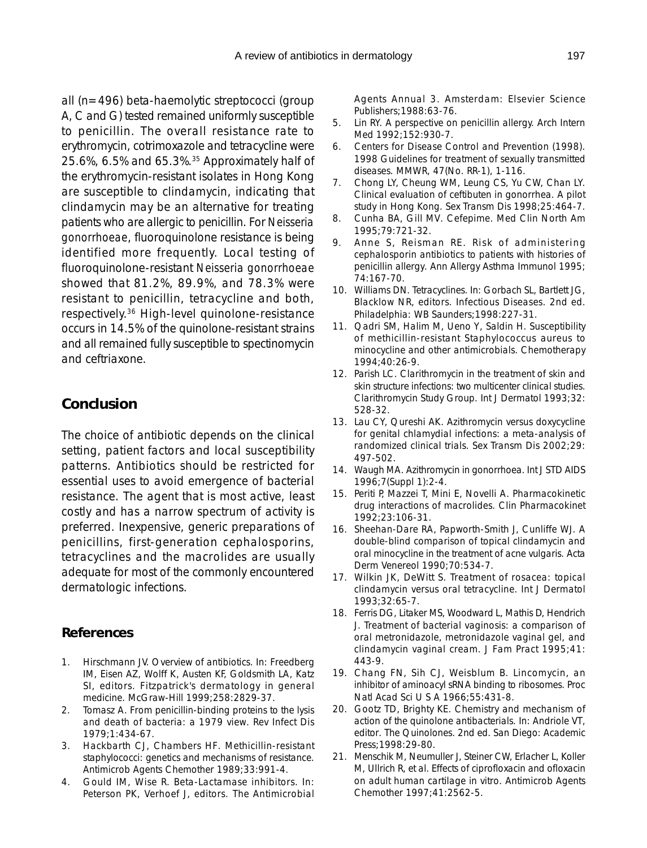all (n=496) beta-haemolytic streptococci (group A, C and G) tested remained uniformly susceptible to penicillin. The overall resistance rate to erythromycin, cotrimoxazole and tetracycline were 25.6%, 6.5% and 65.3%.35 Approximately half of the erythromycin-resistant isolates in Hong Kong are susceptible to clindamycin, indicating that clindamycin may be an alternative for treating patients who are allergic to penicillin. For *Neisseria gonorrhoeae*, fluoroquinolone resistance is being identified more frequently. Local testing of fluoroquinolone-resistant *Neisseria gonorrhoeae* showed that 81.2%, 89.9%, and 78.3% were resistant to penicillin, tetracycline and both,

respectively.36 High-level quinolone-resistance occurs in 14.5% of the quinolone-resistant strains and all remained fully susceptible to spectinomycin and ceftriaxone.

# **Conclusion**

The choice of antibiotic depends on the clinical setting, patient factors and local susceptibility patterns. Antibiotics should be restricted for essential uses to avoid emergence of bacterial resistance. The agent that is most active, least costly and has a narrow spectrum of activity is preferred. Inexpensive, generic preparations of penicillins, first-generation cephalosporins, tetracyclines and the macrolides are usually adequate for most of the commonly encountered dermatologic infections.

# **References**

- 1. Hirschmann JV. Overview of antibiotics. In: Freedberg IM, Eisen AZ, Wolff K, Austen KF, Goldsmith LA, Katz SI, editors. Fitzpatrick's dermatology in general medicine. McGraw-Hill 1999;258:2829-37.
- 2. Tomasz A. From penicillin-binding proteins to the lysis and death of bacteria: a 1979 view. Rev Infect Dis 1979;1:434-67.
- 3. Hackbarth CJ, Chambers HF. Methicillin-resistant staphylococci: genetics and mechanisms of resistance. Antimicrob Agents Chemother 1989;33:991-4.
- 4. Gould IM, Wise R. Beta-Lactamase inhibitors. In: Peterson PK, Verhoef J, editors. The Antimicrobial

Agents Annual 3. Amsterdam: Elsevier Science Publishers;1988:63-76.

- 5. Lin RY. A perspective on penicillin allergy. Arch Intern Med 1992;152:930-7.
- 6. Centers for Disease Control and Prevention (1998). 1998 Guidelines for treatment of sexually transmitted diseases. MMWR, 47(No. RR-1), 1-116.
- 7. Chong LY, Cheung WM, Leung CS, Yu CW, Chan LY. Clinical evaluation of ceftibuten in gonorrhea. A pilot study in Hong Kong. Sex Transm Dis 1998;25:464-7.
- 8. Cunha BA, Gill MV. Cefepime. Med Clin North Am 1995;79:721-32.
- 9. Anne S, Reisman RE. Risk of administering cephalosporin antibiotics to patients with histories of penicillin allergy. Ann Allergy Asthma Immunol 1995; 74:167-70.
- 10. Williams DN. Tetracyclines. In: Gorbach SL, Bartlett JG, Blacklow NR, editors. Infectious Diseases. 2nd ed. Philadelphia: WB Saunders;1998:227-31.
- 11. Qadri SM, Halim M, Ueno Y, Saldin H. Susceptibility of methicillin-resistant Staphylococcus aureus to minocycline and other antimicrobials. Chemotherapy 1994;40:26-9.
- 12. Parish LC. Clarithromycin in the treatment of skin and skin structure infections: two multicenter clinical studies. Clarithromycin Study Group. Int J Dermatol 1993;32: 528-32.
- 13. Lau CY, Qureshi AK. Azithromycin versus doxycycline for genital chlamydial infections: a meta-analysis of randomized clinical trials. Sex Transm Dis 2002;29: 497-502.
- 14. Waugh MA. Azithromycin in gonorrhoea. Int J STD AIDS 1996;7(Suppl 1):2-4.
- 15. Periti P, Mazzei T, Mini E, Novelli A. Pharmacokinetic drug interactions of macrolides. Clin Pharmacokinet 1992;23:106-31.
- 16. Sheehan-Dare RA, Papworth-Smith J, Cunliffe WJ. A double-blind comparison of topical clindamycin and oral minocycline in the treatment of acne vulgaris. Acta Derm Venereol 1990;70:534-7.
- 17. Wilkin JK, DeWitt S. Treatment of rosacea: topical clindamycin versus oral tetracycline. Int J Dermatol 1993;32:65-7.
- 18. Ferris DG, Litaker MS, Woodward L, Mathis D, Hendrich J. Treatment of bacterial vaginosis: a comparison of oral metronidazole, metronidazole vaginal gel, and clindamycin vaginal cream. J Fam Pract 1995;41: 443-9.
- 19. Chang FN, Sih CJ, Weisblum B. Lincomycin, an inhibitor of aminoacyl sRNA binding to ribosomes. Proc Natl Acad Sci U S A 1966;55:431-8.
- 20. Gootz TD, Brighty KE. Chemistry and mechanism of action of the quinolone antibacterials. In: Andriole VT, editor. The Quinolones. 2nd ed. San Diego: Academic Press;1998:29-80.
- 21. Menschik M, Neumuller J, Steiner CW, Erlacher L, Koller M, Ullrich R, et al. Effects of ciprofloxacin and ofloxacin on adult human cartilage in vitro. Antimicrob Agents Chemother 1997;41:2562-5.